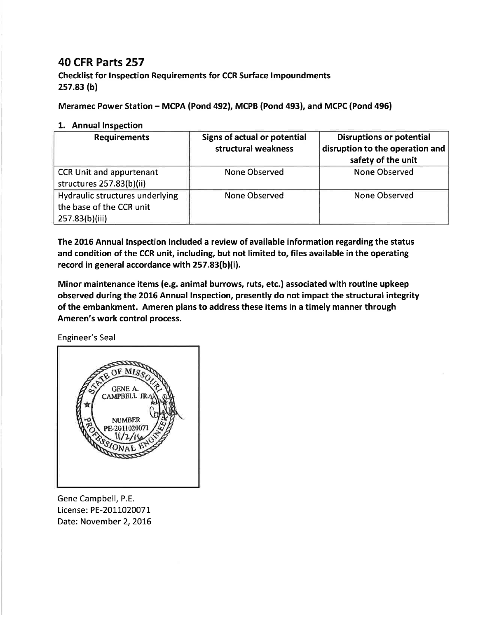## 40 CFR Parts 257

Checklist for lnspection Requirements for CCR Surface lmpoundments 2s7.83 (b)

Meramec Power Station - MCPA (Pond 492), MCPB (Pond 493), and MCPC (Pond 496)

## 1. Annual Inspection

| <b>Requirements</b>                                                           | <b>Signs of actual or potential</b><br>structural weakness | <b>Disruptions or potential</b><br>disruption to the operation and<br>safety of the unit |
|-------------------------------------------------------------------------------|------------------------------------------------------------|------------------------------------------------------------------------------------------|
| <b>CCR Unit and appurtenant</b><br>structures 257.83(b)(ii)                   | None Observed                                              | None Observed                                                                            |
| Hydraulic structures underlying<br>the base of the CCR unit<br>257.83(b)(iii) | <b>None Observed</b>                                       | <b>None Observed</b>                                                                     |

The 2016 Annual lnspection included a review of available information regarding the status and condition of the CCR unit, including, but not limited to, files available in the operating record in general accordance with 257.83(b)(i).

Minor maintenance items (e.g. animal burrows, ruts, etc.) associated with routine upkeep observed during the 2016 Annual Inspection, presently do not impact the structural integrity of the embankment. Ameren plans to address these items in a timely manner through Ameren's work control process.

Engineer's Seal



Gene Campbell, P.E. License: PE-2011020071 Date: November 2, 2016